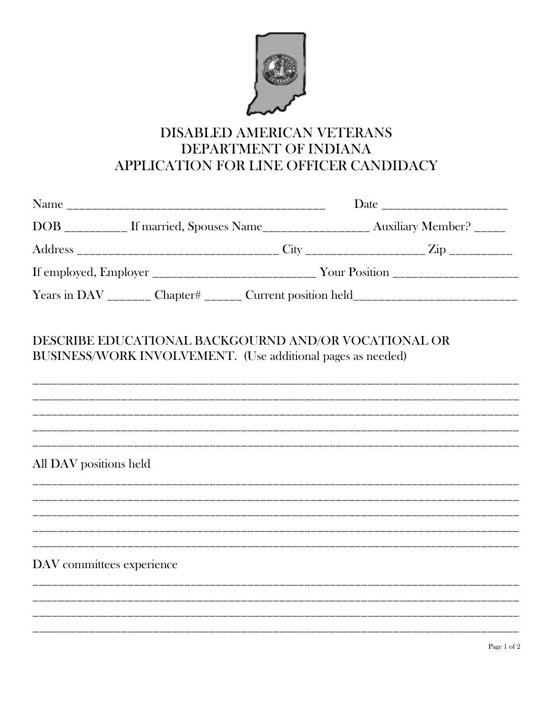

## DISABLED AMERICAN VETERANS DEPARTMENT OF INDIANA APPLICATION FOR LINE OFFICER CANDIDACY

|                           |                                                                                                                     | Date _________________________ |                                                                                    |  |
|---------------------------|---------------------------------------------------------------------------------------------------------------------|--------------------------------|------------------------------------------------------------------------------------|--|
|                           |                                                                                                                     |                                | DOB __________ If married, Spouses Name___________________ Auxiliary Member? _____ |  |
|                           |                                                                                                                     |                                |                                                                                    |  |
|                           |                                                                                                                     |                                |                                                                                    |  |
|                           |                                                                                                                     |                                | Years in DAV ________ Chapter# _______ Current position held_____________________  |  |
|                           | DESCRIBE EDUCATIONAL BACKGOURND AND/OR VOCATIONAL OR<br>BUSINESS/WORK INVOLVEMENT. (Use additional pages as needed) |                                |                                                                                    |  |
| All DAV positions held    |                                                                                                                     |                                | ,我们也不会有什么?""我们的人,我们也不会有什么?""我们的人,我们也不会有什么?""我们的人,我们也不会有什么?""我们的人,我们也不会有什么?""我们的人   |  |
|                           |                                                                                                                     |                                |                                                                                    |  |
| DAV committees experience |                                                                                                                     |                                |                                                                                    |  |
|                           |                                                                                                                     |                                |                                                                                    |  |
|                           |                                                                                                                     |                                |                                                                                    |  |